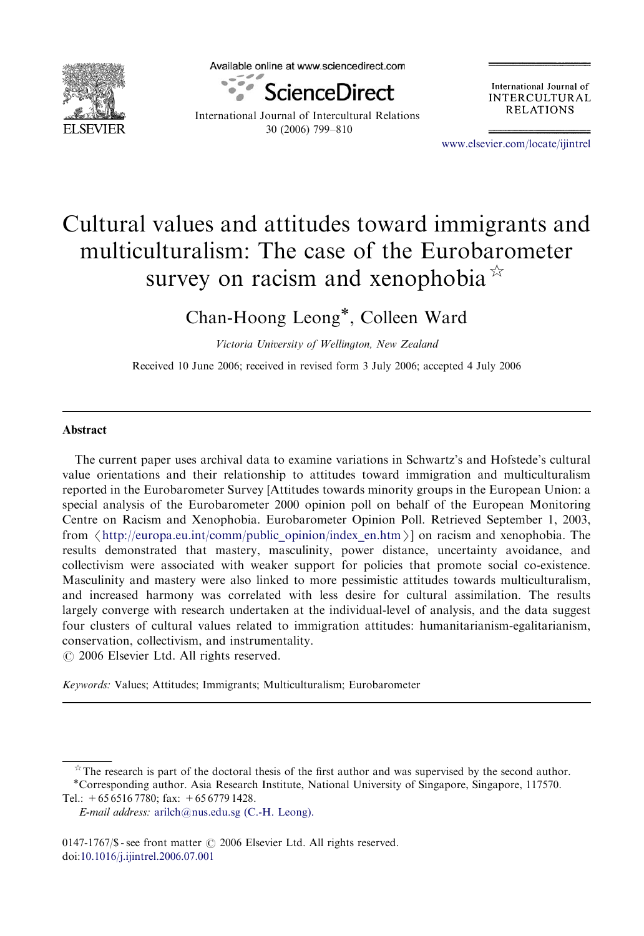

Available online at www.sciencedirect.com



International Journal of Intercultural Relations 30 (2006) 799–810

International Journal of **INTERCULTURAL RELATIONS** 

<www.elsevier.com/locate/ijintrel>

## Cultural values and attitudes toward immigrants and multiculturalism: The case of the Eurobarometer survey on racism and xenophobia  $\overline{a}$

Chan-Hoong Leong\*, Colleen Ward

Victoria University of Wellington, New Zealand

Received 10 June 2006; received in revised form 3 July 2006; accepted 4 July 2006

## Abstract

The current paper uses archival data to examine variations in Schwartz's and Hofstede's cultural value orientations and their relationship to attitudes toward immigration and multiculturalism reported in the Eurobarometer Survey [Attitudes towards minority groups in the European Union: a special analysis of the Eurobarometer 2000 opinion poll on behalf of the European Monitoring Centre on Racism and Xenophobia. Eurobarometer Opinion Poll. Retrieved September 1, 2003, from  $\langle$  [http://europa.eu.int/comm/public\\_opinion/index\\_en.htm](http://europa.eu.int/comm/public_opinion/index_en.htm) $\rangle$ ] on racism and xenophobia. The results demonstrated that mastery, masculinity, power distance, uncertainty avoidance, and collectivism were associated with weaker support for policies that promote social co-existence. Masculinity and mastery were also linked to more pessimistic attitudes towards multiculturalism, and increased harmony was correlated with less desire for cultural assimilation. The results largely converge with research undertaken at the individual-level of analysis, and the data suggest four clusters of cultural values related to immigration attitudes: humanitarianism-egalitarianism, conservation, collectivism, and instrumentality.  $\odot$  2006 Elsevier Ltd. All rights reserved.

Keywords: Values; Attitudes; Immigrants; Multiculturalism; Eurobarometer

 $*$  The research is part of the doctoral thesis of the first author and was supervised by the second author.  $*$  Corresponding author. Asia Research Institute, National University of Singapore, Singapore, 117570.

Tel.:  $+6565167780$ ; fax:  $+6567791428$ .

E-mail address: [arilch@nus.edu.sg \(C.-H. Leong\).](mailto:arilch@nus.edu.sg)

<sup>0147-1767/\$ -</sup> see front matter  $\circ$  2006 Elsevier Ltd. All rights reserved. doi[:10.1016/j.ijintrel.2006.07.001](dx.doi.org/10.1016/j.ijintrel.2006.07.001)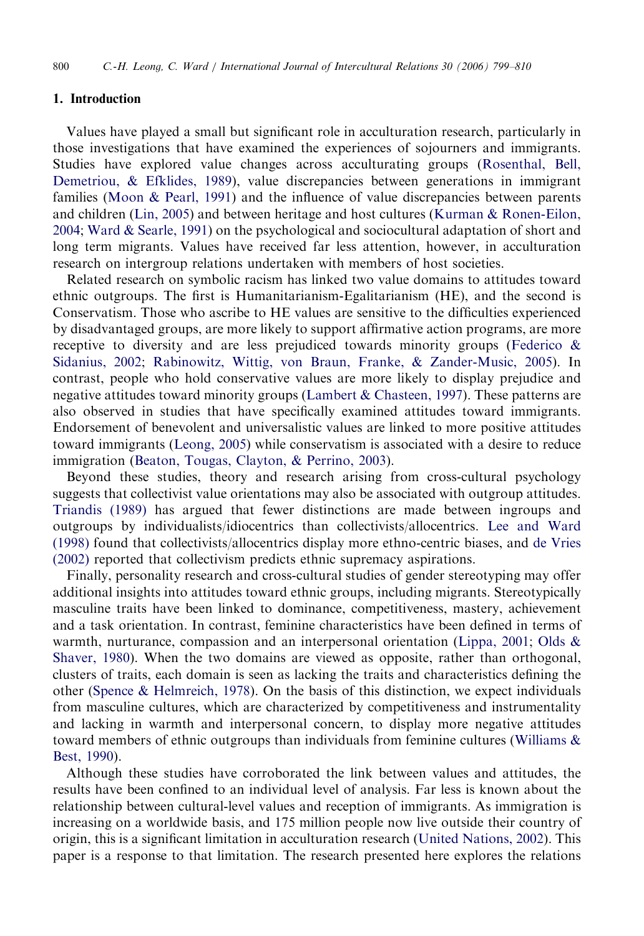## 1. Introduction

Values have played a small but significant role in acculturation research, particularly in those investigations that have examined the experiences of sojourners and immigrants. Studies have explored value changes across acculturating groups [\(Rosenthal, Bell,](#page--1-0) [Demetriou, & Efklides, 1989\)](#page--1-0), value discrepancies between generations in immigrant families [\(Moon & Pearl, 1991](#page--1-0)) and the influence of value discrepancies between parents and children ([Lin, 2005\)](#page--1-0) and between heritage and host cultures [\(Kurman](#page--1-0) [& Ronen-Eilon,](#page--1-0) [2004](#page--1-0); [Ward](#page--1-0) & [Searle, 1991](#page--1-0)) on the psychological and sociocultural adaptation of short and long term migrants. Values have received far less attention, however, in acculturation research on intergroup relations undertaken with members of host societies.

Related research on symbolic racism has linked two value domains to attitudes toward ethnic outgroups. The first is Humanitarianism-Egalitarianism (HE), and the second is Conservatism. Those who ascribe to HE values are sensitive to the difficulties experienced by disadvantaged groups, are more likely to support affirmative action programs, are more receptive to diversity and are less prejudiced towards minority groups ([Federico &](#page--1-0) [Sidanius, 2002;](#page--1-0) [Rabinowitz, Wittig, von Braun, Franke,](#page--1-0) [& Zander-Music, 2005](#page--1-0)). In contrast, people who hold conservative values are more likely to display prejudice and negative attitudes toward minority groups ([Lambert & Chasteen, 1997](#page--1-0)). These patterns are also observed in studies that have specifically examined attitudes toward immigrants. Endorsement of benevolent and universalistic values are linked to more positive attitudes toward immigrants [\(Leong, 2005](#page--1-0)) while conservatism is associated with a desire to reduce immigration ([Beaton, Tougas, Clayton, & Perrino, 2003\)](#page--1-0).

Beyond these studies, theory and research arising from cross-cultural psychology suggests that collectivist value orientations may also be associated with outgroup attitudes. [Triandis \(1989\)](#page--1-0) has argued that fewer distinctions are made between ingroups and outgroups by individualists/idiocentrics than collectivists/allocentrics. [Lee and Ward](#page--1-0) [\(1998\)](#page--1-0) found that collectivists/allocentrics display more ethno-centric biases, and [de Vries](#page--1-0) [\(2002\)](#page--1-0) reported that collectivism predicts ethnic supremacy aspirations.

Finally, personality research and cross-cultural studies of gender stereotyping may offer additional insights into attitudes toward ethnic groups, including migrants. Stereotypically masculine traits have been linked to dominance, competitiveness, mastery, achievement and a task orientation. In contrast, feminine characteristics have been defined in terms of warmth, nurturance, compassion and an interpersonal orientation ([Lippa, 2001;](#page--1-0) [Olds &](#page--1-0) [Shaver, 1980](#page--1-0)). When the two domains are viewed as opposite, rather than orthogonal, clusters of traits, each domain is seen as lacking the traits and characteristics defining the other (Spence  $\&$  Helmreich, 1978). On the basis of this distinction, we expect individuals from masculine cultures, which are characterized by competitiveness and instrumentality and lacking in warmth and interpersonal concern, to display more negative attitudes toward members of ethnic outgroups than individuals from feminine cultures (Williams  $\&$ [Best, 1990\)](#page--1-0).

Although these studies have corroborated the link between values and attitudes, the results have been confined to an individual level of analysis. Far less is known about the relationship between cultural-level values and reception of immigrants. As immigration is increasing on a worldwide basis, and 175 million people now live outside their country of origin, this is a significant limitation in acculturation research ([United Nations, 2002](#page--1-0)). This paper is a response to that limitation. The research presented here explores the relations